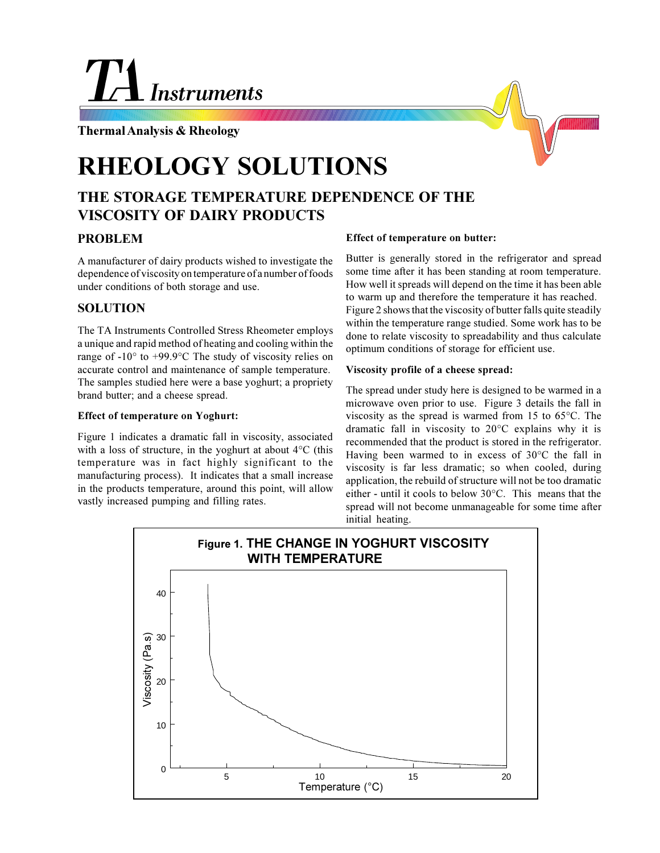# **Instruments**

## **Thermal Analysis & Rheology**

# **RHEOLOGY SOLUTIONS**

# **THE STORAGE TEMPERATURE DEPENDENCE OF THE VISCOSITY OF DAIRY PRODUCTS**

## **PROBLEM**

A manufacturer of dairy products wished to investigate the dependence of viscosity on temperature of a number of foods under conditions of both storage and use.

## **SOLUTION**

The TA Instruments Controlled Stress Rheometer employs a unique and rapid method of heating and cooling within the range of -10° to +99.9°C The study of viscosity relies on accurate control and maintenance of sample temperature. The samples studied here were a base yoghurt; a propriety brand butter; and a cheese spread.

#### **Effect of temperature on Yoghurt:**

Figure 1 indicates a dramatic fall in viscosity, associated with a loss of structure, in the yoghurt at about 4°C (this temperature was in fact highly significant to the manufacturing process). It indicates that a small increase in the products temperature, around this point, will allow vastly increased pumping and filling rates.

#### **Effect of temperature on butter:**

Butter is generally stored in the refrigerator and spread some time after it has been standing at room temperature. How well it spreads will depend on the time it has been able to warm up and therefore the temperature it has reached. Figure 2 shows that the viscosity of butter falls quite steadily within the temperature range studied. Some work has to be done to relate viscosity to spreadability and thus calculate optimum conditions of storage for efficient use.

#### **Viscosity profile of a cheese spread:**

The spread under study here is designed to be warmed in a microwave oven prior to use. Figure 3 details the fall in viscosity as the spread is warmed from 15 to 65°C. The dramatic fall in viscosity to 20°C explains why it is recommended that the product is stored in the refrigerator. Having been warmed to in excess of 30°C the fall in viscosity is far less dramatic; so when cooled, during application, the rebuild of structure will not be too dramatic either - until it cools to below 30°C. This means that the spread will not become unmanageable for some time after initial heating.